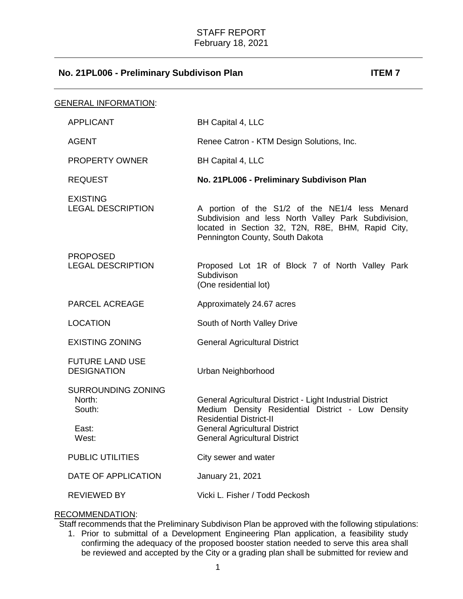| <b>GENERAL INFORMATION:</b> |                                                                 |                                                                                                                                                                                                                                  |
|-----------------------------|-----------------------------------------------------------------|----------------------------------------------------------------------------------------------------------------------------------------------------------------------------------------------------------------------------------|
|                             | <b>APPLICANT</b>                                                | BH Capital 4, LLC                                                                                                                                                                                                                |
|                             | <b>AGENT</b>                                                    | Renee Catron - KTM Design Solutions, Inc.                                                                                                                                                                                        |
|                             | <b>PROPERTY OWNER</b>                                           | BH Capital 4, LLC                                                                                                                                                                                                                |
|                             | <b>REQUEST</b>                                                  | No. 21PL006 - Preliminary Subdivison Plan                                                                                                                                                                                        |
|                             | <b>EXISTING</b><br><b>LEGAL DESCRIPTION</b>                     | A portion of the S1/2 of the NE1/4 less Menard<br>Subdivision and less North Valley Park Subdivision,<br>located in Section 32, T2N, R8E, BHM, Rapid City,<br>Pennington County, South Dakota                                    |
|                             | <b>PROPOSED</b><br><b>LEGAL DESCRIPTION</b>                     | Proposed Lot 1R of Block 7 of North Valley Park<br>Subdivison<br>(One residential lot)                                                                                                                                           |
|                             | <b>PARCEL ACREAGE</b>                                           | Approximately 24.67 acres                                                                                                                                                                                                        |
|                             | <b>LOCATION</b>                                                 | South of North Valley Drive                                                                                                                                                                                                      |
|                             | <b>EXISTING ZONING</b>                                          | <b>General Agricultural District</b>                                                                                                                                                                                             |
|                             | <b>FUTURE LAND USE</b><br><b>DESIGNATION</b>                    | Urban Neighborhood                                                                                                                                                                                                               |
|                             | <b>SURROUNDING ZONING</b><br>North:<br>South:<br>East:<br>West: | General Agricultural District - Light Industrial District<br>Medium Density Residential District - Low Density<br><b>Residential District-II</b><br><b>General Agricultural District</b><br><b>General Agricultural District</b> |
|                             | <b>PUBLIC UTILITIES</b>                                         | City sewer and water                                                                                                                                                                                                             |
|                             | DATE OF APPLICATION                                             | January 21, 2021                                                                                                                                                                                                                 |
|                             | <b>REVIEWED BY</b>                                              | Vicki L. Fisher / Todd Peckosh                                                                                                                                                                                                   |

# RECOMMENDATION:

Staff recommends that the Preliminary Subdivison Plan be approved with the following stipulations:

1. Prior to submittal of a Development Engineering Plan application, a feasibility study confirming the adequacy of the proposed booster station needed to serve this area shall be reviewed and accepted by the City or a grading plan shall be submitted for review and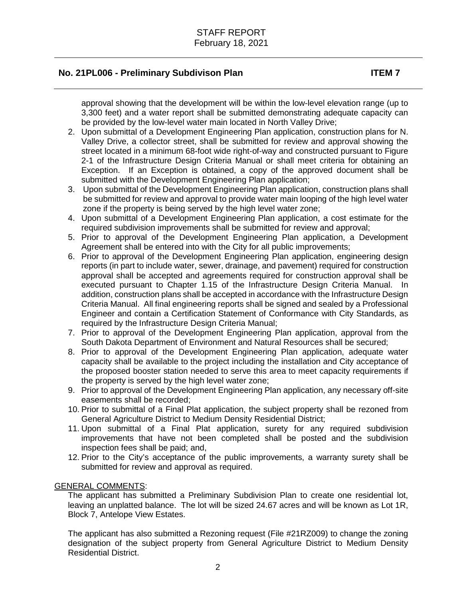approval showing that the development will be within the low-level elevation range (up to 3,300 feet) and a water report shall be submitted demonstrating adequate capacity can be provided by the low-level water main located in North Valley Drive;

- 2. Upon submittal of a Development Engineering Plan application, construction plans for N. Valley Drive, a collector street, shall be submitted for review and approval showing the street located in a minimum 68-foot wide right-of-way and constructed pursuant to Figure 2-1 of the Infrastructure Design Criteria Manual or shall meet criteria for obtaining an Exception. If an Exception is obtained, a copy of the approved document shall be submitted with the Development Engineering Plan application;
- 3. Upon submittal of the Development Engineering Plan application, construction plans shall be submitted for review and approval to provide water main looping of the high level water zone if the property is being served by the high level water zone;
- 4. Upon submittal of a Development Engineering Plan application, a cost estimate for the required subdivision improvements shall be submitted for review and approval;
- 5. Prior to approval of the Development Engineering Plan application, a Development Agreement shall be entered into with the City for all public improvements;
- 6. Prior to approval of the Development Engineering Plan application, engineering design reports (in part to include water, sewer, drainage, and pavement) required for construction approval shall be accepted and agreements required for construction approval shall be executed pursuant to Chapter 1.15 of the Infrastructure Design Criteria Manual. In addition, construction plans shall be accepted in accordance with the Infrastructure Design Criteria Manual. All final engineering reports shall be signed and sealed by a Professional Engineer and contain a Certification Statement of Conformance with City Standards, as required by the Infrastructure Design Criteria Manual;
- 7. Prior to approval of the Development Engineering Plan application, approval from the South Dakota Department of Environment and Natural Resources shall be secured;
- 8. Prior to approval of the Development Engineering Plan application, adequate water capacity shall be available to the project including the installation and City acceptance of the proposed booster station needed to serve this area to meet capacity requirements if the property is served by the high level water zone;
- 9. Prior to approval of the Development Engineering Plan application, any necessary off-site easements shall be recorded;
- 10. Prior to submittal of a Final Plat application, the subject property shall be rezoned from General Agriculture District to Medium Density Residential District;
- 11. Upon submittal of a Final Plat application, surety for any required subdivision improvements that have not been completed shall be posted and the subdivision inspection fees shall be paid; and,
- 12. Prior to the City's acceptance of the public improvements, a warranty surety shall be submitted for review and approval as required.

#### GENERAL COMMENTS:

The applicant has submitted a Preliminary Subdivision Plan to create one residential lot, leaving an unplatted balance. The lot will be sized 24.67 acres and will be known as Lot 1R, Block 7, Antelope View Estates.

The applicant has also submitted a Rezoning request (File #21RZ009) to change the zoning designation of the subject property from General Agriculture District to Medium Density Residential District.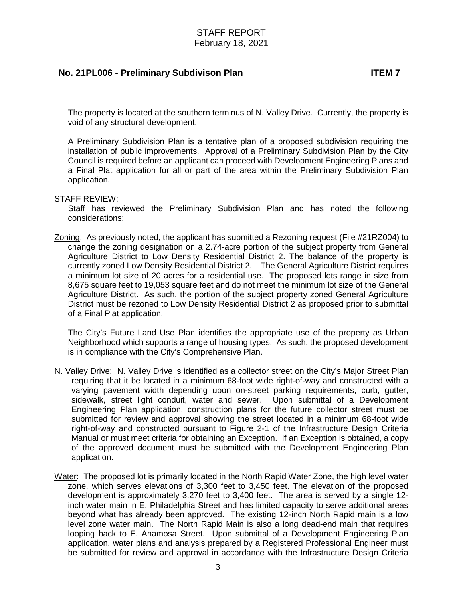The property is located at the southern terminus of N. Valley Drive. Currently, the property is void of any structural development.

A Preliminary Subdivision Plan is a tentative plan of a proposed subdivision requiring the installation of public improvements. Approval of a Preliminary Subdivision Plan by the City Council is required before an applicant can proceed with Development Engineering Plans and a Final Plat application for all or part of the area within the Preliminary Subdivision Plan application.

#### STAFF REVIEW:

Staff has reviewed the Preliminary Subdivision Plan and has noted the following considerations:

Zoning: As previously noted, the applicant has submitted a Rezoning request (File #21RZ004) to change the zoning designation on a 2.74-acre portion of the subject property from General Agriculture District to Low Density Residential District 2. The balance of the property is currently zoned Low Density Residential District 2. The General Agriculture District requires a minimum lot size of 20 acres for a residential use. The proposed lots range in size from 8,675 square feet to 19,053 square feet and do not meet the minimum lot size of the General Agriculture District. As such, the portion of the subject property zoned General Agriculture District must be rezoned to Low Density Residential District 2 as proposed prior to submittal of a Final Plat application.

The City's Future Land Use Plan identifies the appropriate use of the property as Urban Neighborhood which supports a range of housing types. As such, the proposed development is in compliance with the City's Comprehensive Plan.

- N. Valley Drive: N. Valley Drive is identified as a collector street on the City's Major Street Plan requiring that it be located in a minimum 68-foot wide right-of-way and constructed with a varying pavement width depending upon on-street parking requirements, curb, gutter, sidewalk, street light conduit, water and sewer. Upon submittal of a Development Engineering Plan application, construction plans for the future collector street must be submitted for review and approval showing the street located in a minimum 68-foot wide right-of-way and constructed pursuant to Figure 2-1 of the Infrastructure Design Criteria Manual or must meet criteria for obtaining an Exception. If an Exception is obtained, a copy of the approved document must be submitted with the Development Engineering Plan application.
- Water: The proposed lot is primarily located in the North Rapid Water Zone, the high level water zone, which serves elevations of 3,300 feet to 3,450 feet. The elevation of the proposed development is approximately 3,270 feet to 3,400 feet. The area is served by a single 12 inch water main in E. Philadelphia Street and has limited capacity to serve additional areas beyond what has already been approved. The existing 12-inch North Rapid main is a low level zone water main. The North Rapid Main is also a long dead-end main that requires looping back to E. Anamosa Street. Upon submittal of a Development Engineering Plan application, water plans and analysis prepared by a Registered Professional Engineer must be submitted for review and approval in accordance with the Infrastructure Design Criteria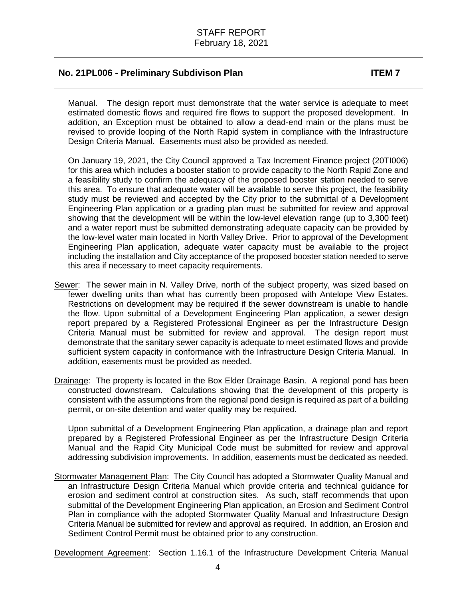Manual. The design report must demonstrate that the water service is adequate to meet estimated domestic flows and required fire flows to support the proposed development. In addition, an Exception must be obtained to allow a dead-end main or the plans must be revised to provide looping of the North Rapid system in compliance with the Infrastructure Design Criteria Manual. Easements must also be provided as needed.

On January 19, 2021, the City Council approved a Tax Increment Finance project (20TI006) for this area which includes a booster station to provide capacity to the North Rapid Zone and a feasibility study to confirm the adequacy of the proposed booster station needed to serve this area. To ensure that adequate water will be available to serve this project, the feasibility study must be reviewed and accepted by the City prior to the submittal of a Development Engineering Plan application or a grading plan must be submitted for review and approval showing that the development will be within the low-level elevation range (up to 3,300 feet) and a water report must be submitted demonstrating adequate capacity can be provided by the low-level water main located in North Valley Drive. Prior to approval of the Development Engineering Plan application, adequate water capacity must be available to the project including the installation and City acceptance of the proposed booster station needed to serve this area if necessary to meet capacity requirements.

- Sewer: The sewer main in N. Valley Drive, north of the subject property, was sized based on fewer dwelling units than what has currently been proposed with Antelope View Estates. Restrictions on development may be required if the sewer downstream is unable to handle the flow. Upon submittal of a Development Engineering Plan application, a sewer design report prepared by a Registered Professional Engineer as per the Infrastructure Design Criteria Manual must be submitted for review and approval. The design report must demonstrate that the sanitary sewer capacity is adequate to meet estimated flows and provide sufficient system capacity in conformance with the Infrastructure Design Criteria Manual. In addition, easements must be provided as needed.
- Drainage: The property is located in the Box Elder Drainage Basin. A regional pond has been constructed downstream. Calculations showing that the development of this property is consistent with the assumptions from the regional pond design is required as part of a building permit, or on-site detention and water quality may be required.

Upon submittal of a Development Engineering Plan application, a drainage plan and report prepared by a Registered Professional Engineer as per the Infrastructure Design Criteria Manual and the Rapid City Municipal Code must be submitted for review and approval addressing subdivision improvements. In addition, easements must be dedicated as needed.

Stormwater Management Plan: The City Council has adopted a Stormwater Quality Manual and an Infrastructure Design Criteria Manual which provide criteria and technical guidance for erosion and sediment control at construction sites. As such, staff recommends that upon submittal of the Development Engineering Plan application, an Erosion and Sediment Control Plan in compliance with the adopted Stormwater Quality Manual and Infrastructure Design Criteria Manual be submitted for review and approval as required. In addition, an Erosion and Sediment Control Permit must be obtained prior to any construction.

Development Agreement: Section 1.16.1 of the Infrastructure Development Criteria Manual